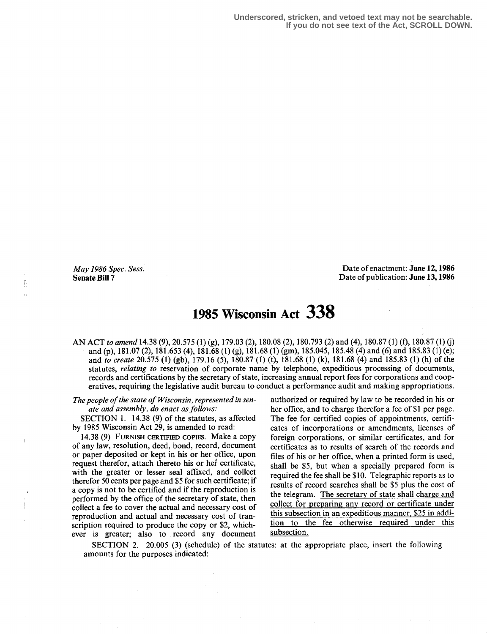May 1986 Spec. Sess. Senate Bill 7

Ī

Date of enactment: June 12, 1986 Date of publication: June 13,1986

# 1985 Wisconsin Act 338

AN ACT to amend 14.38 (9), 20.575 (1) (g), 179.03 (2), 180.08 (2), 180.793 (2) and (4), 180.87 (1) (f), 180.87 (1) (j) and (p), 181.07 (2), 181.653 (4), 181.68 (1) (g), 181.68 (1) (gm), 185.045, 185.48 (4) and (6) and 185.83 (1) (e); and to create 20.575 (1) (gb), 179.16 (5), 180.87 (I) (t), 181 .68 (1) (k), 181 .68 (4) and 185 .83 (1) (h) of the statutes, relating to reservation of corporate name by telephone, expeditious processing of documents, records and certifications by the secretary of state, increasing annual report fees for corporations and cooperatives, requiring the legislative audit bureau to conduct a performance audit and making appropriations.

The people of the state of Wisconsin, represented in senate and assembly, do enact as follows:

SECTION 1.  $14.38$  (9) of the statutes, as affected by 1985 Wisconsin Act 29, is amended to read:

14.38 (9) FURNISH CERTIFIED COPIES . Make a copy of any law, resolution, deed, bond, record, document or paper deposited or kept in his or her office, upon request therefor, attach thereto his or her' certificate, with the greater or lesser seal affixed, and collect therefor 50 cents per page and \$5 for such certificate; if a copy is not to be certified and if the reproduction is performed by the office of the secretary of state, then collect a fee to cover the actual and necessary cost of reproduction and actual and necessary cost of transcription required to produce the copy or \$2, whichever is greater; also to record any document

authorized or required by law to be recorded in his or her office, and to charge therefor a fee of \$1 per page. The fee for certified copies of appointments, certificates of incorporations or amendments, licenses of foreign corporations, or similar certificates, and for certificates as to results of search of the records and files of his or her office, when a printed form is used, shall be \$5, but when a specially prepared form is required the fee shall be \$10. Telegraphic reports as to results of record searches shall be \$5 plus the cost of the telegram. The secretary of state shall charge and collect for preparing any record or certificate under this subsection in an expeditious manner, \$25 in addition to the fee otherwise required under this subsection.

SECTION 2. 20.005 (3) (schedule) of the statutes: at the appropriate place, insert the following amounts for the purposes indicated: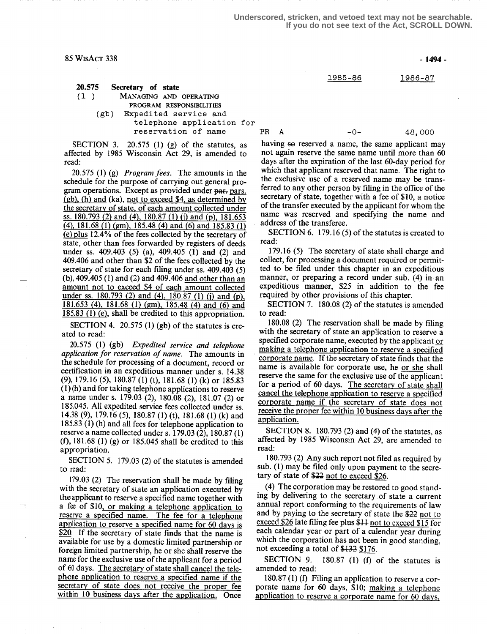20.575 Secretary of state<br>(1) MANAGING AND MANAGING AND OPERATING PROGRAM RESPONSIBILITIES (gb) Expedited service and telephone application for reservation of name

SECTION 3. 20.575 (1) (g) of the statutes, as affected by 1985 Wisconsin Act 29, is amended to read:

20.575 (1) (g) *Program fees*. The amounts in the schedule for the purpose of carrying out general program operations. Except as provided under par- pars. (gb), (h) and (ka), not to exceed \$4, as determined by the secretary of state, of each amount collected under ss. 180.793 (2) and (4), 180.87 (1) (j) and (p), 181.653  $(4)$ , 181.68 (1) (gm), 185.48 (4) and (6) and 185.83 (1) e plus 12 .4% of the fees collected by the secretary of state, other than fees forwarded by registers of deeds under ss. 409.403 (5) (a), 409.405 (1) and (2) and 409.406 and other than \$2 of the fees collected by the secretary of state for each filing under ss. 409.403 (5) (b), 409.405 (1) and (2) and 409.406 and other than an amount not to exceed \$4 of each amount collected under ss. 180.793 (2) and (4), 180.87 (1) (j) and (p), 181 .653 (4), 181 .68 (1) (gm), 185.48 (4) and (6) and 185.83 (1) (e), shall be credited to this appropriation.

SECTION 4. 20.575 (1) (gb) of the statutes is created to read:

20.575 (1) (gb) Expedited service and telephone application for reservation of name. The amounts in the schedule for processing of a document, record or certification in an expeditious manner under s. 14.38 (9), 179.16 (5), 180.87 (1) (t), 181 .68 (1) (k) or 185.83 (1) (h) and for taking telephone applications to reserve a name under s. 179.03 (2), 180.08 (2), 181 .07 (2) or 185,045. All expedited service fees collected under ss. 14.38 (9), 179.16 (5), 180.87 (1) (t), 181 .68 (1) (k) and 185.83 (1) (h) and all fees for telephone application to reserve a name collected under s. 179.03 (2), 180.87 (1) (f), 181 .68 (1) (g) or 185.045 shall be credited to this appropriation.

SECTION 5. 179.03 (2) of the statutes is amended to read:

 $\epsilon = \frac{1}{2}$ 

179.03 (2) The reservation shall be made by filing with the secretary of state an application executed by the applicant to reserve a specified name together with a fee of \$10, or making a telephone application to reserve a specified name. The fee for a telephone application to reserve a specified name for 60 days is \$20. If the secretary of state finds that the name is available for use by a domestic limited partnership or foreign limited partnership, he or she shall reserve the name for the exclusive use of the applicant for a period of 60 days. The secretary of state shall cancel the telephone application to reserve a specified name if the secretary of state does not receive the proper fee within 10 business days after the application. Once

1985-86 1986-87

-1494-

PR A -0- 48,000

having so reserved a name, the same applicant may not again reserve the same name until more than 60 days after the expiration of the last 60-day period for which that applicant reserved that name. The right to the exclusive use of a reserved name may be transferred to any other person by filing in the office of the secretary of state, together with a fee of \$10, a notice of the transfer executed by the applicant for whom the name was reserved and specifying the name and address of the transferee .

SECTION 6. 179.16 (5) of the statutes is created to read:

179.16 (5) The secretary of state shall charge and collect, for processing a document required or permitted to be filed under this chapter in an expeditious manner, or preparing a record under sub.  $(4)$  in an expeditious manner, \$25 in addition to the fee required by other provisions of this chapter.

SECTION 7. 180.08 (2) of the statutes is amended to read:

180.08 (2) The reservation shall be made by filing with the secretary of state an application to reserve a specified corporate name, executed by the applicant or making a telephone application to reserve a specified corporate name. If the secretary of state finds that the name is available for corporate use, he or she shall reserve the same for the exclusive use of the applicant for a period of 60 days. The secretary of state shall cancel the telephone application to reserve a specified corporate name if the secretary of state does not receive the proper fee within 10 business days after the application.

SECTION 8. 180.793 (2) and (4) of the statutes, as affected by 1985 Wisconsin Act 29, are amended to read:

180.793 (2) Any such report not filed as required by sub. (1) may be filed only upon payment to the secre-<br>tary of state of  $\frac{222 \text{ not to exceed } $26}$ .<br>(4) The corporation may be restored to good stand.

(4) The corporation may be restored to good standing by delivering to the secretary of state a current annual report conforming to the requirements of law<br>and by paying to the secretary of state the \$22 not to<br>exceed \$26 late filing fee plus \$11 not to exceed \$15 for exceed \$26 late filing fee plus \$11 not to exceed \$15 for each calendar year or part of a calendar year during which the corporation has not been in good standing, not exceeding a total of  $$132$   $$176$ .<br>SECTION 9. 180.87 (1) (f)

180.87 (1) (f) of the statutes is amended to read:

180.87 (1) (f) Filing an application to reserve a corporate name for 60 days, \$10; making a telephone application to reserve a corporate name for 60 days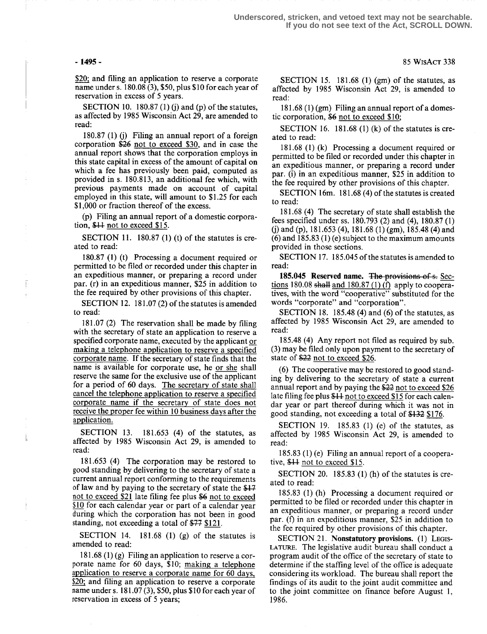\$20; and filing an application to reserve a corporate name under s. 180.08 (3), \$50, plus \$10 for each year of reservation in excess of 5 years.

SECTION 10. 180.87 (1) (j) and (p) of the statutes, as affected by 1985 Wisconsin Act 29, are amended to read:

180.87 (1) (j) Filing an annual report of a foreign corporation  $$26$  not to exceed \$30, and in case the annual report shows that the corporation employs in this state capital in excess of the amount of capital on which a fee has previously been paid, computed as provided in s. 180.813, an additional fee which, with previous payments made on account of capital employed in this state, will amount to \$1 .25 for each \$1,000 or fraction thereof of the excess.

(p) Filing an annual report of a domestic corporation, \$11 not to exceed \$15.

SECTION 11. 180.87 (1) (t) of the statutes is created to read:

180.87 (1) (t) Processing a document required or permitted to be filed or recorded under this chapter in an expeditious manner, or preparing a record under par. (r) in an expeditious manner, \$25 in addition to the fee required by other provisions of this chapter.

SECTION 12. 181.07 $(2)$  of the statutes is amended to read:

181 .07 (2) The reservation shall be made by filing with the secretary of state an application to reserve a specified corporate name, executed by the applicant or making a telephone application to reserve a specified corporate name. If the secretary of state finds that the name is available for corporate use, he or she shall reserve the same for the exclusive use of the applicant for a period of 60 days. The secretary of state shall cancel the telephone application to reserve a specified corporate name if the secretary of state does not receive the proper fee within 10 business days after the application.

SECTION 13.  $181.653$  (4) of the statutes, as affected by 1985 Wisconsin Act 29, is amended to read:

181 .653 (4) The corporation may be restored to good standing by delivering to the secretary of state a current annual report conforming to the requirements of law and by paying to the secretary of state the \$17 not to exceed \$21 late filing fee plus \$6 not to exceed of law and by paying to the secretary of state the \$47 not to exceed \$21 late filing fee plus \$6 not to exceed \$10 for each calendar year or part of a calendar year during which the corporation has not been in good standing, not exceeding a total of  $\frac{17}{7}$  \$121.

SECTION 14.  $181.68$  (1) (g) of the statutes is amended to read:

181.68 (1) (g) Filing an application to reserve a corporate name for 60 days, \$10; making a telephone application to reserve a corporate name for 60 days \$20; and filing an application to reserve a corporate name under s. 181 .07 (3), \$50, plus \$10 for each year of reservation in excess of 5 years;

SECTION 15.  $181.68$  (1) (gm) of the statutes, as affected by 1985 Wisconsin Act 29, is amended to read:

181 .68 (1) (gm) Filing an annual report of a domestic corporation, \$6 not to exceed \$10;

SECTION 16. 181.68 (1) (k) of the statutes is created to read:

181 .68 (1) (k) Processing a document required or permitted to be filed or recorded under this chapter in an expeditious manner, or preparing a record under par. (i) in an expeditious manner, \$25 in addition to the fee required by other provisions of this chapter.

SECTION 16m. 181 .68 (4) of the statutes is created to read:

181 .68 (4) The secretary of state shall establish the fees specified under ss . 180.793 (2) and (4), 180.87 (1) (j) and (p), 181 .653 (4), 181 .68 (1) (gm), 185.48 (4) and (6) and 185.83 (1) (e) subject to the maximum amounts provided in those sections .

SECTION 17. 185.045 of the statutes is amended to read:

185.045 Reserved name. The provisions of s. Sections 180.08 shall and  $180.87$  (1) (f) apply to cooperatives, with the word "cooperative" substituted for the words "corporate" and "corporation".

SECTION 18. 185.48 (4) and (6) of the statutes, as affected by 1985 Wisconsin Act 29, are amended to read:

185.48 (4) Any report not filed as required by sub. (3) may be filed only upon payment to the secretary of state of \$22 not to exceed \$26.

(6) The cooperative may be restored to good standing by delivering to the secretary of state a current annual report and by paying the \$22 not to exceed \$26 late filing fee plus 844 not to exceed \$15 for each calendar year or part thereof during which it was not in good standing, not exceeding a total of  $$132$  \$176.

SECTION 19. 185.83 (1) (e) of the statutes, as affected by 1985 Wisconsin Act 29, is amended to read:

185.83 (1) (e) Filing an annual report of a cooperative, \$11 not to exceed \$15.

SECTION 20. 185.83  $(1)$  (h) of the statutes is created to read:

185.83 (1) (h) Processing a document required or permitted to be filed or recorded under this chapter in an expeditious manner, or preparing a record under par. (f) in an expeditious manner, \$25 in addition to the fee required by other provisions of this chapter.

SECTION 21. Nonstatutory provisions. (1) Legis-LATURE. The legislative audit bureau shall conduct a program audit of the office of the secretary of state to determine if the staffing level of the office is adequate considering its workload. The bureau shall report the findings of its audit to the joint audit committee and to the joint committee on finance before August 1, 1986.

### - 1495 - 85 WisAcT 338